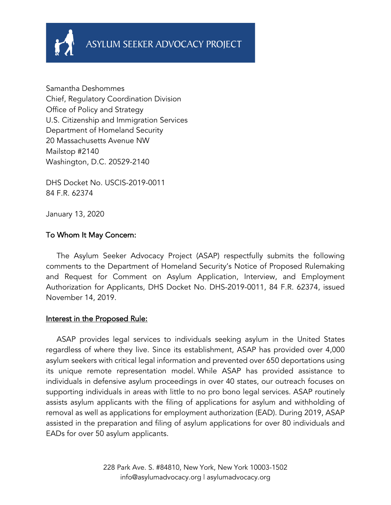

Samantha Deshommes Chief, Regulatory Coordination Division Office of Policy and Strategy U.S. Citizenship and Immigration Services Department of Homeland Security 20 Massachusetts Avenue NW Mailstop #2140 Washington, D.C. 20529-2140

DHS Docket No. USCIS-2019-0011 84 F.R. 62374

January 13, 2020

### To Whom It May Concern:

 The Asylum Seeker Advocacy Project (ASAP) respectfully submits the following comments to the Department of Homeland Security's Notice of Proposed Rulemaking and Request for Comment on Asylum Application, Interview, and Employment Authorization for Applicants, DHS Docket No. DHS-2019-0011, 84 F.R. 62374, issued November 14, 2019.

#### Interest in the Proposed Rule:

 ASAP provides legal services to individuals seeking asylum in the United States regardless of where they live. Since its establishment, ASAP has provided over 4,000 asylum seekers with critical legal information and prevented over 650 deportations using its unique remote representation model. While ASAP has provided assistance to individuals in defensive asylum proceedings in over 40 states, our outreach focuses on supporting individuals in areas with little to no pro bono legal services. ASAP routinely assists asylum applicants with the filing of applications for asylum and withholding of removal as well as applications for employment authorization (EAD). During 2019, ASAP assisted in the preparation and filing of asylum applications for over 80 individuals and EADs for over 50 asylum applicants.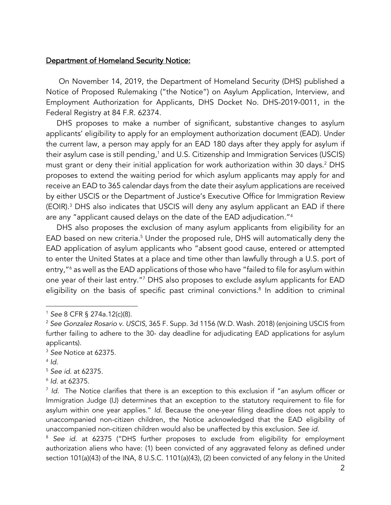#### Department of Homeland Security Notice:

 On November 14, 2019, the Department of Homeland Security (DHS) published a Notice of Proposed Rulemaking ("the Notice") on Asylum Application, Interview, and Employment Authorization for Applicants, DHS Docket No. DHS-2019-0011, in the Federal Registry at 84 F.R. 62374.

 DHS proposes to make a number of significant, substantive changes to asylum applicants' eligibility to apply for an employment authorization document (EAD). Under the current law, a person may apply for an EAD 180 days after they apply for asylum if their asylum case is still pending,<sup>1</sup> and U.S. Citizenship and Immigration Services (USCIS) must grant or deny their initial application for work authorization within 30 days.<sup>2</sup> DHS proposes to extend the waiting period for which asylum applicants may apply for and receive an EAD to 365 calendar days from the date their asylum applications are received by either USCIS or the Department of Justice's Executive Office for Immigration Review (EOIR).3 DHS also indicates that USCIS will deny any asylum applicant an EAD if there are any "applicant caused delays on the date of the EAD adjudication."4

 DHS also proposes the exclusion of many asylum applicants from eligibility for an EAD based on new criteria. <sup>5</sup> Under the proposed rule, DHS will automatically deny the EAD application of asylum applicants who "absent good cause, entered or attempted to enter the United States at a place and time other than lawfully through a U.S. port of entry,"<sup>6</sup> as well as the EAD applications of those who have "failed to file for asylum within one year of their last entry."7 DHS also proposes to exclude asylum applicants for EAD eligibility on the basis of specific past criminal convictions. <sup>8</sup> In addition to criminal

<sup>5</sup> *See id.* at 62375.

<sup>1</sup> *See* 8 CFR § 274a.12(c)(8).

<sup>2</sup> *See Gonzalez Rosario v. USCIS*, 365 F. Supp. 3d 1156 (W.D. Wash. 2018) (enjoining USCIS from further failing to adhere to the 30- day deadline for adjudicating EAD applications for asylum applicants).

<sup>3</sup> *See* Notice at 62375.

 $4$   $\overline{d}$ .

<sup>6</sup> *Id.* at 62375.

<sup>7</sup> *Id.* The Notice clarifies that there is an exception to this exclusion if "an asylum officer or Immigration Judge (IJ) determines that an exception to the statutory requirement to file for asylum within one year applies." *Id*. Because the one-year filing deadline does not apply to unaccompanied non-citizen children, the Notice acknowledged that the EAD eligibility of unaccompanied non-citizen children would also be unaffected by this exclusion. *See id*.

<sup>8</sup> *See id.* at 62375 ("DHS further proposes to exclude from eligibility for employment authorization aliens who have: (1) been convicted of any aggravated felony as defined under section 101(a)(43) of the INA, 8 U.S.C. 1101(a)(43), (2) been convicted of any felony in the United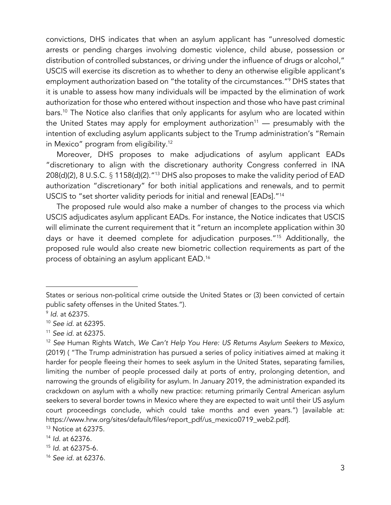convictions, DHS indicates that when an asylum applicant has "unresolved domestic arrests or pending charges involving domestic violence, child abuse, possession or distribution of controlled substances, or driving under the influence of drugs or alcohol," USCIS will exercise its discretion as to whether to deny an otherwise eligible applicant's employment authorization based on "the totality of the circumstances."9 DHS states that it is unable to assess how many individuals will be impacted by the elimination of work authorization for those who entered without inspection and those who have past criminal bars.<sup>10</sup> The Notice also clarifies that only applicants for asylum who are located within the United States may apply for employment authorization<sup>11</sup> — presumably with the intention of excluding asylum applicants subject to the Trump administration's "Remain in Mexico" program from eligibility. 12

 Moreover, DHS proposes to make adjudications of asylum applicant EADs "discretionary to align with the discretionary authority Congress conferred in INA 208(d)(2), 8 U.S.C. § 1158(d)(2)."13 DHS also proposes to make the validity period of EAD authorization "discretionary" for both initial applications and renewals, and to permit USCIS to "set shorter validity periods for initial and renewal [EADs]."14

 The proposed rule would also make a number of changes to the process via which USCIS adjudicates asylum applicant EADs. For instance, the Notice indicates that USCIS will eliminate the current requirement that it "return an incomplete application within 30 days or have it deemed complete for adjudication purposes."15 Additionally, the proposed rule would also create new biometric collection requirements as part of the process of obtaining an asylum applicant EAD.16

States or serious non-political crime outside the United States or (3) been convicted of certain public safety offenses in the United States.").

<sup>9</sup> *Id.* at 62375.

<sup>10</sup> *See id.* at 62395.

<sup>11</sup> *See id.* at 62375.

<sup>12</sup> *See* Human Rights Watch, *We Can't Help You Here: US Returns Asylum Seekers to Mexico*, (2019) ( "The Trump administration has pursued a series of policy initiatives aimed at making it harder for people fleeing their homes to seek asylum in the United States, separating families, limiting the number of people processed daily at ports of entry, prolonging detention, and narrowing the grounds of eligibility for asylum. In January 2019, the administration expanded its crackdown on asylum with a wholly new practice: returning primarily Central American asylum seekers to several border towns in Mexico where they are expected to wait until their US asylum court proceedings conclude, which could take months and even years.") [available at: https://www.hrw.org/sites/default/files/report\_pdf/us\_mexico0719\_web2.pdf].

<sup>13</sup> Notice at 62375.

<sup>14</sup> *Id.* at 62376.

<sup>15</sup> *Id.* at 62375-6.

<sup>16</sup> *See id.* at 62376.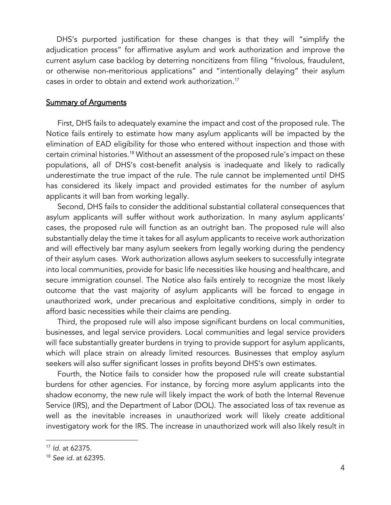DHS's purported justification for these changes is that they will "simplify the adjudication process" for affirmative asylum and work authorization and improve the current asylum case backlog by deterring noncitizens from filing "frivolous, fraudulent, or otherwise non-meritorious applications" and "intentionally delaying" their asylum cases in order to obtain and extend work authorization.17

#### Summary of Arguments

First, DHS fails to adequately examine the impact and cost of the proposed rule. The Notice fails entirely to estimate how many asylum applicants will be impacted by the elimination of EAD eligibility for those who entered without inspection and those with certain criminal histories.18 Without an assessment of the proposed rule's impact on these populations, all of DHS's cost-benefit analysis is inadequate and likely to radically underestimate the true impact of the rule. The rule cannot be implemented until DHS has considered its likely impact and provided estimates for the number of asylum applicants it will ban from working legally.

Second, DHS fails to consider the additional substantial collateral consequences that asylum applicants will suffer without work authorization. In many asylum applicants' cases, the proposed rule will function as an outright ban. The proposed rule will also substantially delay the time it takes for all asylum applicants to receive work authorization and will effectively bar many asylum seekers from legally working during the pendency of their asylum cases. Work authorization allows asylum seekers to successfully integrate into local communities, provide for basic life necessities like housing and healthcare, and secure immigration counsel. The Notice also fails entirely to recognize the most likely outcome that the vast majority of asylum applicants will be forced to engage in unauthorized work, under precarious and exploitative conditions, simply in order to afford basic necessities while their claims are pending.

Third, the proposed rule will also impose significant burdens on local communities, businesses, and legal service providers. Local communities and legal service providers will face substantially greater burdens in trying to provide support for asylum applicants, which will place strain on already limited resources. Businesses that employ asylum seekers will also suffer significant losses in profits beyond DHS's own estimates.

Fourth, the Notice fails to consider how the proposed rule will create substantial burdens for other agencies. For instance, by forcing more asylum applicants into the shadow economy, the new rule will likely impact the work of both the Internal Revenue Service (IRS), and the Department of Labor (DOL). The associated loss of tax revenue as well as the inevitable increases in unauthorized work will likely create additional investigatory work for the IRS. The increase in unauthorized work will also likely result in

<sup>17</sup> *Id.* at 62375.

<sup>18</sup> *See id.* at 62395.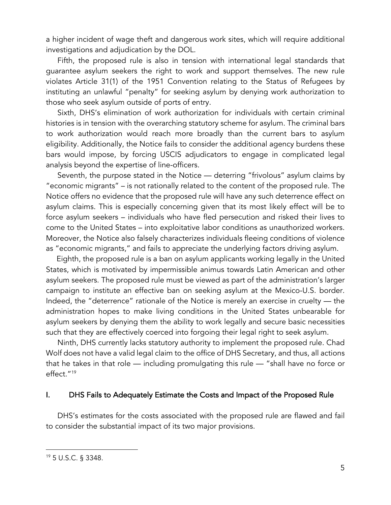a higher incident of wage theft and dangerous work sites, which will require additional investigations and adjudication by the DOL.

Fifth, the proposed rule is also in tension with international legal standards that guarantee asylum seekers the right to work and support themselves. The new rule violates Article 31(1) of the 1951 Convention relating to the Status of Refugees by instituting an unlawful "penalty" for seeking asylum by denying work authorization to those who seek asylum outside of ports of entry.

Sixth, DHS's elimination of work authorization for individuals with certain criminal histories is in tension with the overarching statutory scheme for asylum. The criminal bars to work authorization would reach more broadly than the current bars to asylum eligibility. Additionally, the Notice fails to consider the additional agency burdens these bars would impose, by forcing USCIS adjudicators to engage in complicated legal analysis beyond the expertise of line-officers.

Seventh, the purpose stated in the Notice — deterring "frivolous" asylum claims by "economic migrants" – is not rationally related to the content of the proposed rule. The Notice offers no evidence that the proposed rule will have any such deterrence effect on asylum claims. This is especially concerning given that its most likely effect will be to force asylum seekers – individuals who have fled persecution and risked their lives to come to the United States – into exploitative labor conditions as unauthorized workers. Moreover, the Notice also falsely characterizes individuals fleeing conditions of violence as "economic migrants," and fails to appreciate the underlying factors driving asylum.

 Eighth, the proposed rule is a ban on asylum applicants working legally in the United States, which is motivated by impermissible animus towards Latin American and other asylum seekers. The proposed rule must be viewed as part of the administration's larger campaign to institute an effective ban on seeking asylum at the Mexico-U.S. border. Indeed, the "deterrence" rationale of the Notice is merely an exercise in cruelty — the administration hopes to make living conditions in the United States unbearable for asylum seekers by denying them the ability to work legally and secure basic necessities such that they are effectively coerced into forgoing their legal right to seek asylum.

Ninth, DHS currently lacks statutory authority to implement the proposed rule. Chad Wolf does not have a valid legal claim to the office of DHS Secretary, and thus, all actions that he takes in that role — including promulgating this rule — "shall have no force or effect."19

#### I. DHS Fails to Adequately Estimate the Costs and Impact of the Proposed Rule

DHS's estimates for the costs associated with the proposed rule are flawed and fail to consider the substantial impact of its two major provisions.

<sup>19</sup> 5 U.S.C. § 3348.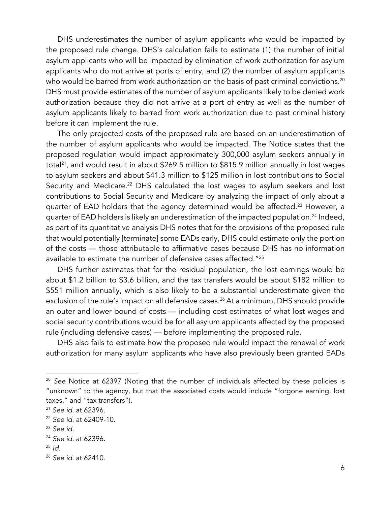DHS underestimates the number of asylum applicants who would be impacted by the proposed rule change. DHS's calculation fails to estimate (1) the number of initial asylum applicants who will be impacted by elimination of work authorization for asylum applicants who do not arrive at ports of entry, and (2) the number of asylum applicants who would be barred from work authorization on the basis of past criminal convictions.<sup>20</sup> DHS must provide estimates of the number of asylum applicants likely to be denied work authorization because they did not arrive at a port of entry as well as the number of asylum applicants likely to barred from work authorization due to past criminal history before it can implement the rule.

The only projected costs of the proposed rule are based on an underestimation of the number of asylum applicants who would be impacted. The Notice states that the proposed regulation would impact approximately 300,000 asylum seekers annually in total<sup>21</sup>, and would result in about \$269.5 million to \$815.9 million annually in lost wages to asylum seekers and about \$41.3 million to \$125 million in lost contributions to Social Security and Medicare.<sup>22</sup> DHS calculated the lost wages to asylum seekers and lost contributions to Social Security and Medicare by analyzing the impact of only about a quarter of EAD holders that the agency determined would be affected.<sup>23</sup> However, a quarter of EAD holders is likely an underestimation of the impacted population.<sup>24</sup> Indeed, as part of its quantitative analysis DHS notes that for the provisions of the proposed rule that would potentially [terminate] some EADs early, DHS could estimate only the portion of the costs — those attributable to affirmative cases because DHS has no information available to estimate the number of defensive cases affected."25

DHS further estimates that for the residual population, the lost earnings would be about \$1.2 billion to \$3.6 billion, and the tax transfers would be about \$182 million to \$551 million annually, which is also likely to be a substantial underestimate given the exclusion of the rule's impact on all defensive cases. <sup>26</sup> At a minimum, DHS should provide an outer and lower bound of costs — including cost estimates of what lost wages and social security contributions would be for all asylum applicants affected by the proposed rule (including defensive cases) — before implementing the proposed rule.

DHS also fails to estimate how the proposed rule would impact the renewal of work authorization for many asylum applicants who have also previously been granted EADs

<sup>20</sup> *See* Notice at 62397 (Noting that the number of individuals affected by these policies is "unknown" to the agency, but that the associated costs would include "forgone earning, lost taxes," and "tax transfers").

<sup>21</sup> *See id*. at 62396.

<sup>22</sup> *See id*. at 62409-10.

<sup>23</sup> *See id.*

<sup>24</sup> *See id.* at 62396.

<sup>25</sup> *Id.*

<sup>26</sup> *See id.* at 62410.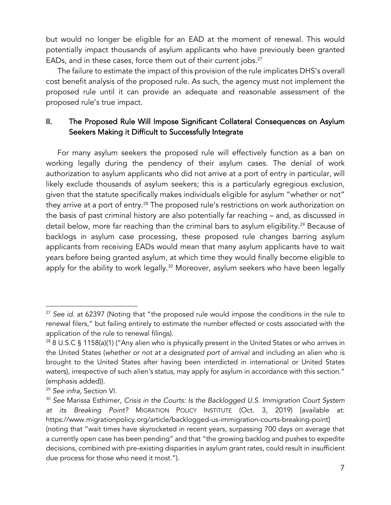but would no longer be eligible for an EAD at the moment of renewal. This would potentially impact thousands of asylum applicants who have previously been granted EADs, and in these cases, force them out of their current jobs. 27

The failure to estimate the impact of this provision of the rule implicates DHS's overall cost benefit analysis of the proposed rule. As such, the agency must not implement the proposed rule until it can provide an adequate and reasonable assessment of the proposed rule's true impact.

# II. The Proposed Rule Will Impose Significant Collateral Consequences on Asylum Seekers Making it Difficult to Successfully Integrate

For many asylum seekers the proposed rule will effectively function as a ban on working legally during the pendency of their asylum cases. The denial of work authorization to asylum applicants who did not arrive at a port of entry in particular, will likely exclude thousands of asylum seekers; this is a particularly egregious exclusion, given that the statute specifically makes individuals eligible for asylum "whether or not" they arrive at a port of entry.<sup>28</sup> The proposed rule's restrictions on work authorization on the basis of past criminal history are also potentially far reaching – and, as discussed in detail below, more far reaching than the criminal bars to asylum eligibility.<sup>29</sup> Because of backlogs in asylum case processing, these proposed rule changes barring asylum applicants from receiving EADs would mean that many asylum applicants have to wait years before being granted asylum, at which time they would finally become eligible to apply for the ability to work legally.<sup>30</sup> Moreover, asylum seekers who have been legally

<sup>27</sup> *See id.* at 62397 (Noting that "the proposed rule would impose the conditions in the rule to renewal filers," but failing entirely to estimate the number effected or costs associated with the application of the rule to renewal filings).

<sup>&</sup>lt;sup>28</sup> 8 U.S.C § 1158(a)(1) ("Any alien who is physically present in the United States or who arrives in the United States (*whether or not at a designated port of arrival* and including an alien who is brought to the United States after having been interdicted in international or United States waters), irrespective of such alien's status, may apply for asylum in accordance with this section." (emphasis added)).

<sup>29</sup> *See infra*, Section VI.

<sup>30</sup> *See* Marissa Esthimer, *Crisis in the Courts: Is the Backlogged U.S. Immigration Court System at its Breaking Point?* MIGRATION POLICY INSTITUTE (Oct. 3, 2019) [available at: https://www.migrationpolicy.org/article/backlogged-us-immigration-courts-breaking-point] (noting that "wait times have skyrocketed in recent years, surpassing 700 days on average that a currently open case has been pending" and that "the growing backlog and pushes to expedite decisions, combined with pre-existing disparities in asylum grant rates, could result in insufficient due process for those who need it most.").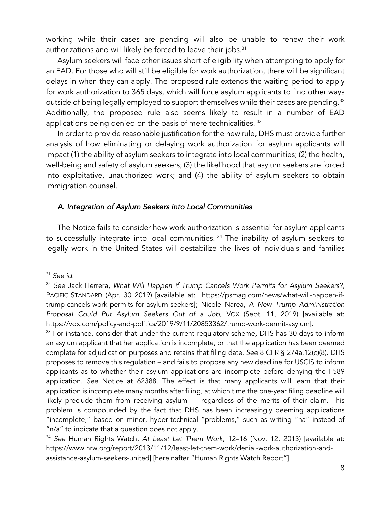working while their cases are pending will also be unable to renew their work authorizations and will likely be forced to leave their jobs.<sup>31</sup>

Asylum seekers will face other issues short of eligibility when attempting to apply for an EAD. For those who will still be eligible for work authorization, there will be significant delays in when they can apply. The proposed rule extends the waiting period to apply for work authorization to 365 days, which will force asylum applicants to find other ways outside of being legally employed to support themselves while their cases are pending. 32 Additionally, the proposed rule also seems likely to result in a number of EAD applications being denied on the basis of mere technicalities. <sup>33</sup>

In order to provide reasonable justification for the new rule, DHS must provide further analysis of how eliminating or delaying work authorization for asylum applicants will impact (1) the ability of asylum seekers to integrate into local communities; (2) the health, well-being and safety of asylum seekers; (3) the likelihood that asylum seekers are forced into exploitative, unauthorized work; and (4) the ability of asylum seekers to obtain immigration counsel.

#### *A. Integration of Asylum Seekers into Local Communities*

The Notice fails to consider how work authorization is essential for asylum applicants to successfully integrate into local communities.<sup>34</sup> The inability of asylum seekers to legally work in the United States will destabilize the lives of individuals and families

<sup>31</sup> *See id*.

<sup>32</sup> *See* Jack Herrera, *What Will Happen if Trump Cancels Work Permits for Asylum Seekers?,* PACIFIC STANDARD (Apr. 30 2019) [available at: https://psmag.com/news/what-will-happen-iftrump-cancels-work-permits-for-asylum-seekers]; Nicole Narea, *A New Trump Administration Proposal Could Put Asylum Seekers Out of a Job*, VOX (Sept. 11, 2019) [available at: https://vox.com/policy-and-politics/2019/9/11/20853362/trump-work-permit-asylum].

<sup>&</sup>lt;sup>33</sup> For instance, consider that under the current regulatory scheme, DHS has 30 days to inform an asylum applicant that her application is incomplete, or that the application has been deemed complete for adjudication purposes and retains that filing date. *See* 8 CFR § 274a.12(c)(8). DHS proposes to remove this regulation – and fails to propose any new deadline for USCIS to inform applicants as to whether their asylum applications are incomplete before denying the I-589 application. *See* Notice at 62388. The effect is that many applicants will learn that their application is incomplete many months after filing, at which time the one-year filing deadline will likely preclude them from receiving asylum — regardless of the merits of their claim. This problem is compounded by the fact that DHS has been increasingly deeming applications "incomplete," based on minor, hyper-technical "problems," such as writing "na" instead of "n/a" to indicate that a question does not apply. 34 *See* Human Rights Watch, *At Least Let Them Work*, 12–16 (Nov. 12, 2013) [available at:

https://www.hrw.org/report/2013/11/12/least-let-them-work/denial-work-authorization-andassistance-asylum-seekers-united] [hereinafter "Human Rights Watch Report"].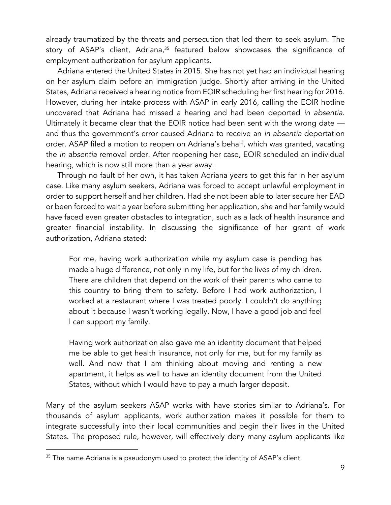already traumatized by the threats and persecution that led them to seek asylum. The story of ASAP's client, Adriana, <sup>35</sup> featured below showcases the significance of employment authorization for asylum applicants.

Adriana entered the United States in 2015. She has not yet had an individual hearing on her asylum claim before an immigration judge. Shortly after arriving in the United States, Adriana received a hearing notice from EOIR scheduling her first hearing for 2016. However, during her intake process with ASAP in early 2016, calling the EOIR hotline uncovered that Adriana had missed a hearing and had been deported *in absentia*. Ultimately it became clear that the EOIR notice had been sent with the wrong date and thus the government's error caused Adriana to receive an *in absentia* deportation order. ASAP filed a motion to reopen on Adriana's behalf, which was granted, vacating the *in absentia* removal order. After reopening her case, EOIR scheduled an individual hearing, which is now still more than a year away.

Through no fault of her own, it has taken Adriana years to get this far in her asylum case. Like many asylum seekers, Adriana was forced to accept unlawful employment in order to support herself and her children. Had she not been able to later secure her EAD or been forced to wait a year before submitting her application, she and her family would have faced even greater obstacles to integration, such as a lack of health insurance and greater financial instability. In discussing the significance of her grant of work authorization, Adriana stated:

For me, having work authorization while my asylum case is pending has made a huge difference, not only in my life, but for the lives of my children. There are children that depend on the work of their parents who came to this country to bring them to safety. Before I had work authorization, I worked at a restaurant where I was treated poorly. I couldn't do anything about it because I wasn't working legally. Now, I have a good job and feel l can support my family.

Having work authorization also gave me an identity document that helped me be able to get health insurance, not only for me, but for my family as well. And now that I am thinking about moving and renting a new apartment, it helps as well to have an identity document from the United States, without which I would have to pay a much larger deposit.

Many of the asylum seekers ASAP works with have stories similar to Adriana's. For thousands of asylum applicants, work authorization makes it possible for them to integrate successfully into their local communities and begin their lives in the United States. The proposed rule, however, will effectively deny many asylum applicants like

 $35$  The name Adriana is a pseudonym used to protect the identity of ASAP's client.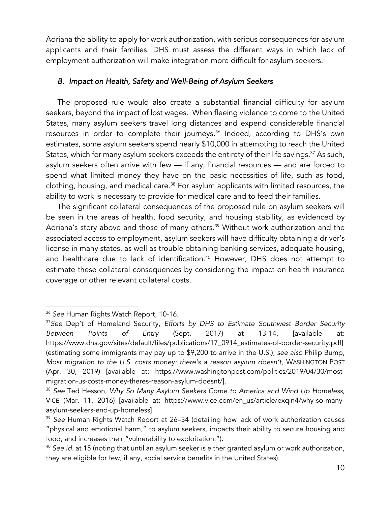Adriana the ability to apply for work authorization, with serious consequences for asylum applicants and their families. DHS must assess the different ways in which lack of employment authorization will make integration more difficult for asylum seekers.

#### *B. Impact on Health, Safety and Well-Being of Asylum Seekers*

The proposed rule would also create a substantial financial difficulty for asylum seekers, beyond the impact of lost wages. When fleeing violence to come to the United States, many asylum seekers travel long distances and expend considerable financial resources in order to complete their journeys.<sup>36</sup> Indeed, according to DHS's own estimates, some asylum seekers spend nearly \$10,000 in attempting to reach the United States, which for many asylum seekers exceeds the entirety of their life savings.<sup>37</sup> As such, asylum seekers often arrive with few — if any, financial resources — and are forced to spend what limited money they have on the basic necessities of life, such as food, clothing, housing, and medical care.<sup>38</sup> For asylum applicants with limited resources, the ability to work is necessary to provide for medical care and to feed their families.

The significant collateral consequences of the proposed rule on asylum seekers will be seen in the areas of health, food security, and housing stability, as evidenced by Adriana's story above and those of many others. <sup>39</sup> Without work authorization and the associated access to employment, asylum seekers will have difficulty obtaining a driver's license in many states, as well as trouble obtaining banking services, adequate housing, and healthcare due to lack of identification.<sup>40</sup> However, DHS does not attempt to estimate these collateral consequences by considering the impact on health insurance coverage or other relevant collateral costs.

<sup>36</sup> *See* Human Rights Watch Report, 10-16.

<sup>37</sup>*See* Dep't of Homeland Security, *Efforts by DHS to Estimate Southwest Border Security Between Points of Entry* (Sept. 2017) at 13-14, [available at: https://www.dhs.gov/sites/default/files/publications/17\_0914\_estimates-of-border-security.pdf] (estimating some immigrants may pay up to \$9,200 to arrive in the U.S.); *see also* Philip Bump, Most migration to the U.S. costs money: there's a reason asylum doesn't, WASHINGTON POST (Apr. 30, 2019) [available at: https://www.washingtonpost.com/politics/2019/04/30/mostmigration-us-costs-money-theres-reason-asylum-doesnt/].

<sup>38</sup> *See* Ted Hesson, *Why So Many Asylum Seekers Come to America and Wind Up Homeless*, VICE (Mar. 11, 2016) [available at: https://www.vice.com/en\_us/article/exqjn4/why-so-manyasylum-seekers-end-up-homeless].

<sup>39</sup> *See* Human Rights Watch Report at 26–34 (detailing how lack of work authorization causes "physical and emotional harm," to asylum seekers, impacts their ability to secure housing and food, and increases their "vulnerability to exploitation.").

<sup>40</sup> *See id.* at 15 (noting that until an asylum seeker is either granted asylum or work authorization, they are eligible for few, if any, social service benefits in the United States).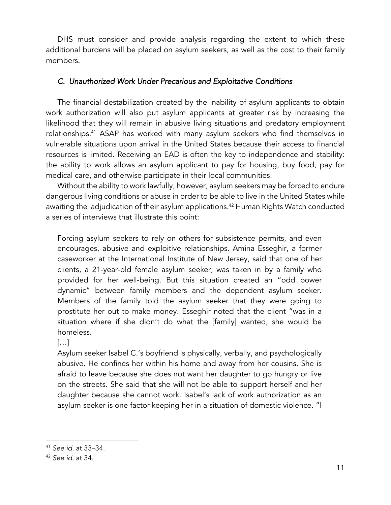DHS must consider and provide analysis regarding the extent to which these additional burdens will be placed on asylum seekers, as well as the cost to their family members.

#### *C. Unauthorized Work Under Precarious and Exploitative Conditions*

The financial destabilization created by the inability of asylum applicants to obtain work authorization will also put asylum applicants at greater risk by increasing the likelihood that they will remain in abusive living situations and predatory employment relationships.<sup>41</sup> ASAP has worked with many asylum seekers who find themselves in vulnerable situations upon arrival in the United States because their access to financial resources is limited. Receiving an EAD is often the key to independence and stability: the ability to work allows an asylum applicant to pay for housing, buy food, pay for medical care, and otherwise participate in their local communities.

Without the ability to work lawfully, however, asylum seekers may be forced to endure dangerous living conditions or abuse in order to be able to live in the United States while awaiting the adjudication of their asylum applications.<sup>42</sup> Human Rights Watch conducted a series of interviews that illustrate this point:

Forcing asylum seekers to rely on others for subsistence permits, and even encourages, abusive and exploitive relationships. Amina Esseghir, a former caseworker at the International Institute of New Jersey, said that one of her clients, a 21-year-old female asylum seeker, was taken in by a family who provided for her well-being. But this situation created an "odd power dynamic" between family members and the dependent asylum seeker. Members of the family told the asylum seeker that they were going to prostitute her out to make money. Esseghir noted that the client "was in a situation where if she didn't do what the [family] wanted, she would be homeless.

#### $[...]$

Asylum seeker Isabel C.'s boyfriend is physically, verbally, and psychologically abusive. He confines her within his home and away from her cousins. She is afraid to leave because she does not want her daughter to go hungry or live on the streets. She said that she will not be able to support herself and her daughter because she cannot work. Isabel's lack of work authorization as an asylum seeker is one factor keeping her in a situation of domestic violence. "I

<sup>41</sup> *See id.* at 33–34.

<sup>42</sup> *See id.* at 34.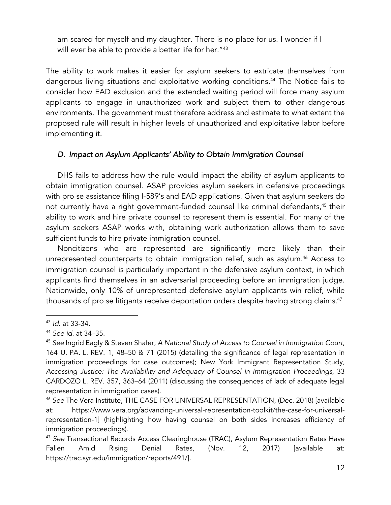am scared for myself and my daughter. There is no place for us. I wonder if I will ever be able to provide a better life for her."<sup>43</sup>

The ability to work makes it easier for asylum seekers to extricate themselves from dangerous living situations and exploitative working conditions. <sup>44</sup> The Notice fails to consider how EAD exclusion and the extended waiting period will force many asylum applicants to engage in unauthorized work and subject them to other dangerous environments. The government must therefore address and estimate to what extent the proposed rule will result in higher levels of unauthorized and exploitative labor before implementing it.

## *D. Impact on Asylum Applicants' Ability to Obtain Immigration Counsel*

DHS fails to address how the rule would impact the ability of asylum applicants to obtain immigration counsel. ASAP provides asylum seekers in defensive proceedings with pro se assistance filing I-589's and EAD applications. Given that asylum seekers do not currently have a right government-funded counsel like criminal defendants,<sup>45</sup> their ability to work and hire private counsel to represent them is essential. For many of the asylum seekers ASAP works with, obtaining work authorization allows them to save sufficient funds to hire private immigration counsel.

Noncitizens who are represented are significantly more likely than their unrepresented counterparts to obtain immigration relief, such as asylum.<sup>46</sup> Access to immigration counsel is particularly important in the defensive asylum context, in which applicants find themselves in an adversarial proceeding before an immigration judge. Nationwide, only 10% of unrepresented defensive asylum applicants win relief, while thousands of pro se litigants receive deportation orders despite having strong claims.<sup>47</sup>

<sup>43</sup> *Id*. at 33-34.

<sup>44</sup> *See id.* at 34–35.

<sup>45</sup> *See* Ingrid Eagly & Steven Shafer, *A National Study of Access to Counsel in Immigration Court*, 164 U. PA. L. REV. 1, 48–50 & 71 (2015) (detailing the significance of legal representation in immigration proceedings for case outcomes); New York Immigrant Representation Study, *Accessing Justice: The Availability and Adequacy of Counsel in Immigration Proceedings*, 33 CARDOZO L. REV. 357, 363–64 (2011) (discussing the consequences of lack of adequate legal representation in immigration cases).

<sup>46</sup> *See* The Vera Institute, THE CASE FOR UNIVERSAL REPRESENTATION, (Dec. 2018) [available at: https://www.vera.org/advancing-universal-representation-toolkit/the-case-for-universalrepresentation-1] (highlighting how having counsel on both sides increases efficiency of immigration proceedings).

<sup>47</sup> *See* Transactional Records Access Clearinghouse (TRAC), Asylum Representation Rates Have Fallen Amid Rising Denial Rates, (Nov. 12, 2017) [available at: https://trac.syr.edu/immigration/reports/491/].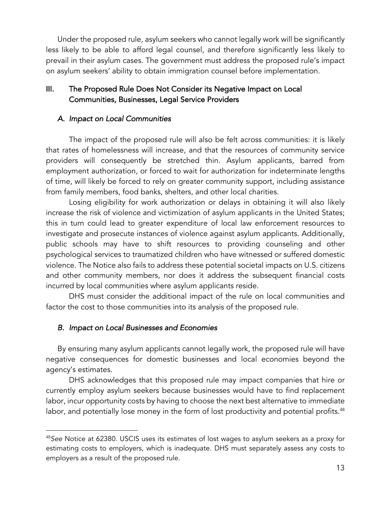Under the proposed rule, asylum seekers who cannot legally work will be significantly less likely to be able to afford legal counsel, and therefore significantly less likely to prevail in their asylum cases. The government must address the proposed rule's impact on asylum seekers' ability to obtain immigration counsel before implementation.

## III. The Proposed Rule Does Not Consider its Negative Impact on Local Communities, Businesses, Legal Service Providers

### *A. Impact on Local Communities*

The impact of the proposed rule will also be felt across communities: it is likely that rates of homelessness will increase, and that the resources of community service providers will consequently be stretched thin. Asylum applicants, barred from employment authorization, or forced to wait for authorization for indeterminate lengths of time, will likely be forced to rely on greater community support, including assistance from family members, food banks, shelters, and other local charities.

Losing eligibility for work authorization or delays in obtaining it will also likely increase the risk of violence and victimization of asylum applicants in the United States; this in turn could lead to greater expenditure of local law enforcement resources to investigate and prosecute instances of violence against asylum applicants. Additionally, public schools may have to shift resources to providing counseling and other psychological services to traumatized children who have witnessed or suffered domestic violence. The Notice also fails to address these potential societal impacts on U.S. citizens and other community members, nor does it address the subsequent financial costs incurred by local communities where asylum applicants reside.

DHS must consider the additional impact of the rule on local communities and factor the cost to those communities into its analysis of the proposed rule.

### *B. Impact on Local Businesses and Economies*

By ensuring many asylum applicants cannot legally work, the proposed rule will have negative consequences for domestic businesses and local economies beyond the agency's estimates.

DHS acknowledges that this proposed rule may impact companies that hire or currently employ asylum seekers because businesses would have to find replacement labor, incur opportunity costs by having to choose the next best alternative to immediate labor, and potentially lose money in the form of lost productivity and potential profits. 48

<sup>48</sup>*See* Notice at 62380. USCIS uses its estimates of lost wages to asylum seekers as a proxy for estimating costs to employers, which is inadequate. DHS must separately assess any costs to employers as a result of the proposed rule.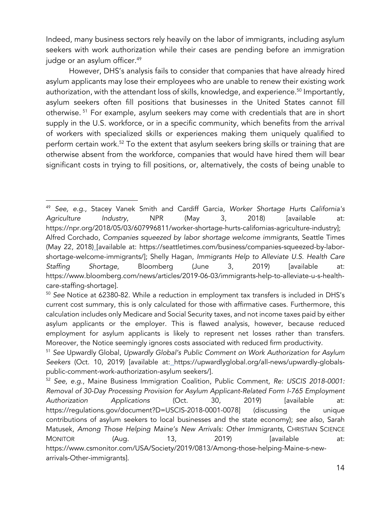Indeed, many business sectors rely heavily on the labor of immigrants, including asylum seekers with work authorization while their cases are pending before an immigration judge or an asylum officer.<sup>49</sup>

However, DHS's analysis fails to consider that companies that have already hired asylum applicants may lose their employees who are unable to renew their existing work authorization, with the attendant loss of skills, knowledge, and experience.<sup>50</sup> Importantly, asylum seekers often fill positions that businesses in the United States cannot fill otherwise. <sup>51</sup> For example, asylum seekers may come with credentials that are in short supply in the U.S. workforce, or in a specific community, which benefits from the arrival of workers with specialized skills or experiences making them uniquely qualified to perform certain work.<sup>52</sup> To the extent that asylum seekers bring skills or training that are otherwise absent from the workforce, companies that would have hired them will bear significant costs in trying to fill positions, or, alternatively, the costs of being unable to

<sup>49</sup> *See, e.g.*, Stacey Vanek Smith and Cardiff Garcia, *Worker Shortage Hurts California's Agriculture Industry*, NPR (May 3, 2018) [available at: https://npr.org/2018/05/03/607996811/worker-shortage-hurts-californias-agriculture-industry]; Alfred Corchado, *Companies squeezed by labor shortage welcome immigrants*, Seattle Times (May 22, 2018) [available at: https://seattletimes.com/business/companies-squeezed-by-laborshortage-welcome-immigrants/]; Shelly Hagan, *Immigrants Help to Alleviate U.S. Health Care Staffing Shortage*, Bloomberg (June 3, 2019) [available at: https://www.bloomberg.com/news/articles/2019-06-03/immigrants-help-to-alleviate-u-s-healthcare-staffing-shortage].

<sup>50</sup> *See* Notice at 62380-82. While a reduction in employment tax transfers is included in DHS's current cost summary, this is only calculated for those with affirmative cases. Furthermore, this calculation includes only Medicare and Social Security taxes, and not income taxes paid by either asylum applicants or the employer. This is flawed analysis, however, because reduced employment for asylum applicants is likely to represent net losses rather than transfers. Moreover, the Notice seemingly ignores costs associated with reduced firm productivity.

<sup>51</sup> *See* Upwardly Global, *Upwardly Global's Public Comment on Work Authorization for Asylum Seekers* (Oct. 10, 2019) [available at: https://upwardlyglobal.org/all-news/upwardly-globalspublic-comment-work-authorization-asylum seekers/].

<sup>52</sup> *See, e.g*., Maine Business Immigration Coalition, Public Comment, *Re: USCIS 2018-0001: Removal of 30-Day Processing Provision for Asylum Applicant-Related Form I-765 Employment Authorization Applications* (Oct. 30, 2019) [available at: https://regulations.gov/document?D=USCIS-2018-0001-0078] (discussing the unique contributions of asylum seekers to local businesses and the state economy); *see also*, Sarah Matusek, *Among Those Helping Maine's New Arrivals: Other Immigrants,* CHRISTIAN SCIENCE MONITOR (Aug. 13, 2019) [available at: https://www.csmonitor.com/USA/Society/2019/0813/Among-those-helping-Maine-s-newarrivals-Other-immigrants].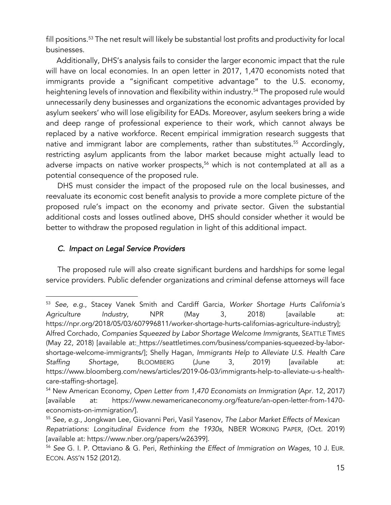fill positions.<sup>53</sup> The net result will likely be substantial lost profits and productivity for local businesses.

 Additionally, DHS's analysis fails to consider the larger economic impact that the rule will have on local economies. In an open letter in 2017, 1,470 economists noted that immigrants provide a "significant competitive advantage" to the U.S. economy, heightening levels of innovation and flexibility within industry.<sup>54</sup> The proposed rule would unnecessarily deny businesses and organizations the economic advantages provided by asylum seekers' who will lose eligibility for EADs. Moreover, asylum seekers bring a wide and deep range of professional experience to their work, which cannot always be replaced by a native workforce. Recent empirical immigration research suggests that native and immigrant labor are complements, rather than substitutes.<sup>55</sup> Accordingly, restricting asylum applicants from the labor market because might actually lead to adverse impacts on native worker prospects,<sup>56</sup> which is not contemplated at all as a potential consequence of the proposed rule.

DHS must consider the impact of the proposed rule on the local businesses, and reevaluate its economic cost benefit analysis to provide a more complete picture of the proposed rule's impact on the economy and private sector. Given the substantial additional costs and losses outlined above, DHS should consider whether it would be better to withdraw the proposed regulation in light of this additional impact.

### *C. Impact on Legal Service Providers*

The proposed rule will also create significant burdens and hardships for some legal service providers. Public defender organizations and criminal defense attorneys will face

<sup>53</sup> *See, e.g.*, Stacey Vanek Smith and Cardiff Garcia, *Worker Shortage Hurts California's Agriculture Industry*, NPR (May 3, 2018) [available at: https://npr.org/2018/05/03/607996811/worker-shortage-hurts-californias-agriculture-industry]; Alfred Corchado, *Companies Squeezed by Labor Shortage Welcome Immigrants*, SEATTLE TIMES (May 22, 2018) [available at: https://seattletimes.com/business/companies-squeezed-by-laborshortage-welcome-immigrants/]; Shelly Hagan, *Immigrants Help to Alleviate U.S. Health Care Staffing Shortage*, BLOOMBERG (June 3, 2019) [available at: https://www.bloomberg.com/news/articles/2019-06-03/immigrants-help-to-alleviate-u-s-healthcare-staffing-shortage].

<sup>54</sup> New American Economy, *Open Letter from 1,470 Economists on Immigration* (Apr. 12, 2017) [available at: https://www.newamericaneconomy.org/feature/an-open-letter-from-1470 economists-on-immigration/].

<sup>55</sup> *See, e.g*., Jongkwan Lee, Giovanni Peri, Vasil Yasenov, *The Labor Market Effects of Mexican Repatriations: Longitudinal Evidence from the 1930s*, NBER WORKING PAPER, (Oct. 2019) [available at: https://www.nber.org/papers/w26399].

<sup>56</sup> *See* G. I. P. Ottaviano & G. Peri, *Rethinking the Effect of Immigration on Wages*, 10 J. EUR. ECON. ASS'N 152 (2012).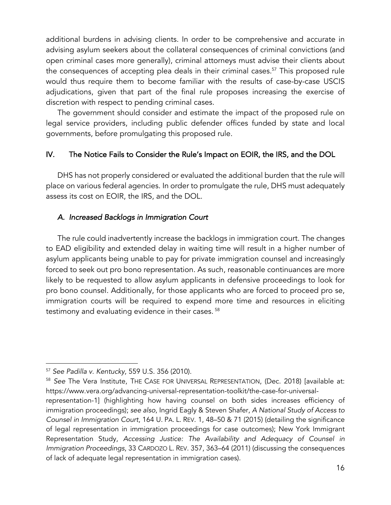additional burdens in advising clients. In order to be comprehensive and accurate in advising asylum seekers about the collateral consequences of criminal convictions (and open criminal cases more generally), criminal attorneys must advise their clients about the consequences of accepting plea deals in their criminal cases.<sup>57</sup> This proposed rule would thus require them to become familiar with the results of case-by-case USCIS adjudications, given that part of the final rule proposes increasing the exercise of discretion with respect to pending criminal cases.

The government should consider and estimate the impact of the proposed rule on legal service providers, including public defender offices funded by state and local governments, before promulgating this proposed rule.

## IV. The Notice Fails to Consider the Rule's Impact on EOIR, the IRS, and the DOL

DHS has not properly considered or evaluated the additional burden that the rule will place on various federal agencies. In order to promulgate the rule, DHS must adequately assess its cost on EOIR, the IRS, and the DOL.

### *A. Increased Backlogs in Immigration Court*

The rule could inadvertently increase the backlogs in immigration court. The changes to EAD eligibility and extended delay in waiting time will result in a higher number of asylum applicants being unable to pay for private immigration counsel and increasingly forced to seek out pro bono representation. As such, reasonable continuances are more likely to be requested to allow asylum applicants in defensive proceedings to look for pro bono counsel. Additionally, for those applicants who are forced to proceed pro se, immigration courts will be required to expend more time and resources in eliciting testimony and evaluating evidence in their cases. <sup>58</sup>

<sup>57</sup> *See Padilla v. Kentucky*, 559 U.S. 356 (2010).

<sup>58</sup> *See* The Vera Institute, THE CASE FOR UNIVERSAL REPRESENTATION, (Dec. 2018) [available at: https://www.vera.org/advancing-universal-representation-toolkit/the-case-for-universal-

representation-1] (highlighting how having counsel on both sides increases efficiency of immigration proceedings); *see also*, Ingrid Eagly & Steven Shafer, *A National Study of Access to Counsel in Immigration Court*, 164 U. PA. L. REV. 1, 48–50 & 71 (2015) (detailing the significance of legal representation in immigration proceedings for case outcomes); New York Immigrant Representation Study, *Accessing Justice: The Availability and Adequacy of Counsel in Immigration Proceedings*, 33 CARDOZO L. REV. 357, 363–64 (2011) (discussing the consequences of lack of adequate legal representation in immigration cases).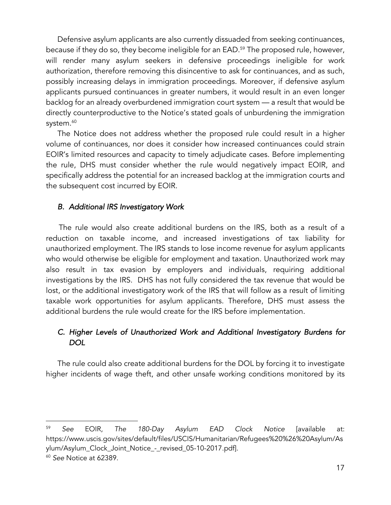Defensive asylum applicants are also currently dissuaded from seeking continuances, because if they do so, they become ineligible for an EAD.<sup>59</sup> The proposed rule, however, will render many asylum seekers in defensive proceedings ineligible for work authorization, therefore removing this disincentive to ask for continuances, and as such, possibly increasing delays in immigration proceedings. Moreover, if defensive asylum applicants pursued continuances in greater numbers, it would result in an even longer backlog for an already overburdened immigration court system — a result that would be directly counterproductive to the Notice's stated goals of unburdening the immigration system.<sup>60</sup>

The Notice does not address whether the proposed rule could result in a higher volume of continuances, nor does it consider how increased continuances could strain EOIR's limited resources and capacity to timely adjudicate cases. Before implementing the rule, DHS must consider whether the rule would negatively impact EOIR, and specifically address the potential for an increased backlog at the immigration courts and the subsequent cost incurred by EOIR.

### *B. Additional IRS Investigatory Work*

 The rule would also create additional burdens on the IRS, both as a result of a reduction on taxable income, and increased investigations of tax liability for unauthorized employment. The IRS stands to lose income revenue for asylum applicants who would otherwise be eligible for employment and taxation. Unauthorized work may also result in tax evasion by employers and individuals, requiring additional investigations by the IRS. DHS has not fully considered the tax revenue that would be lost, or the additional investigatory work of the IRS that will follow as a result of limiting taxable work opportunities for asylum applicants. Therefore, DHS must assess the additional burdens the rule would create for the IRS before implementation.

# *C. Higher Levels of Unauthorized Work and Additional Investigatory Burdens for DOL*

The rule could also create additional burdens for the DOL by forcing it to investigate higher incidents of wage theft, and other unsafe working conditions monitored by its

<sup>59</sup> *See* EOIR, *The 180-Day Asylum EAD Clock Notice* [available at: https://www.uscis.gov/sites/default/files/USCIS/Humanitarian/Refugees%20%26%20Asylum/As ylum/Asylum\_Clock\_Joint\_Notice\_-\_revised\_05-10-2017.pdf].

<sup>60</sup> *See* Notice at 62389.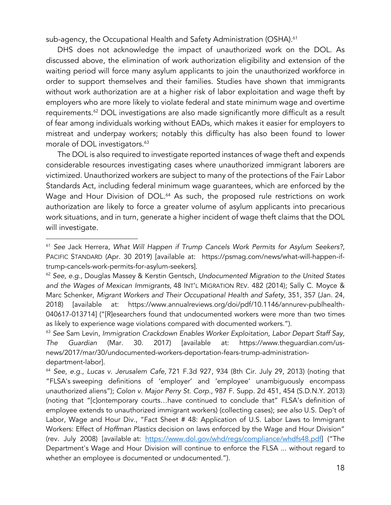sub-agency, the Occupational Health and Safety Administration (OSHA). 61

DHS does not acknowledge the impact of unauthorized work on the DOL. As discussed above, the elimination of work authorization eligibility and extension of the waiting period will force many asylum applicants to join the unauthorized workforce in order to support themselves and their families. Studies have shown that immigrants without work authorization are at a higher risk of labor exploitation and wage theft by employers who are more likely to violate federal and state minimum wage and overtime requirements. <sup>62</sup> DOL investigations are also made significantly more difficult as a result of fear among individuals working without EADs, which makes it easier for employers to mistreat and underpay workers; notably this difficulty has also been found to lower morale of DOL investigators.<sup>63</sup>

The DOL is also required to investigate reported instances of wage theft and expends considerable resources investigating cases where unauthorized immigrant laborers are victimized. Unauthorized workers are subject to many of the protections of the Fair Labor Standards Act, including federal minimum wage guarantees, which are enforced by the Wage and Hour Division of DOL.<sup>64</sup> As such, the proposed rule restrictions on work authorization are likely to force a greater volume of asylum applicants into precarious work situations, and in turn, generate a higher incident of wage theft claims that the DOL will investigate.

<sup>61</sup> *See* Jack Herrera, *What Will Happen if Trump Cancels Work Permits for Asylum Seekers?,* PACIFIC STANDARD (Apr. 30 2019) [available at: https://psmag.com/news/what-will-happen-iftrump-cancels-work-permits-for-asylum-seekers].

<sup>62</sup> *See*, *e.g*., Douglas Massey & Kerstin Gentsch, *Undocumented Migration to the United States and the Wages of Mexican Immigrants*, 48 INT'L MIGRATION REV. 482 (2014); Sally C. Moyce & Marc Schenker, *Migrant Workers and Their Occupational Health and Safety*, 351, 357 (Jan. 24, 2018) [available at: https://www.annualreviews.org/doi/pdf/10.1146/annurev-publhealth-040617-013714] ("[R]esearchers found that undocumented workers were more than two times as likely to experience wage violations compared with documented workers.").

<sup>63</sup> *See* Sam Levin, *Immigration Crackdown Enables Worker Exploitation, Labor Depart Staff Say*, *The Guardian* (Mar. 30. 2017) [available at: https://www.theguardian.com/usnews/2017/mar/30/undocumented-workers-deportation-fears-trump-administrationdepartment-labor].

<sup>64</sup> *See*, *e.g*., *Lucas v. Jerusalem Cafe,* 721 F.3d 927, 934 (8th Cir. July 29, 2013) (noting that "FLSA's sweeping definitions of 'employer' and 'employee' unambiguously encompass unauthorized aliens"); *Colon v. Major Perry St. Corp*., 987 F. Supp. 2d 451, 454 (S.D.N.Y. 2013) (noting that "[c]ontemporary courts…have continued to conclude that" FLSA's definition of employee extends to unauthorized immigrant workers) (collecting cases); *see also* U.S. Dep't of Labor, Wage and Hour Div., "Fact Sheet # 48: Application of U.S. Labor Laws to Immigrant Workers: Effect of *Hoffman Plastics* decision on laws enforced by the Wage and Hour Division" (rev. July 2008) [available at: https://www.dol.gov/whd/regs/compliance/whdfs48.pdf] ("The Department's Wage and Hour Division will continue to enforce the FLSA ... without regard to whether an employee is documented or undocumented.").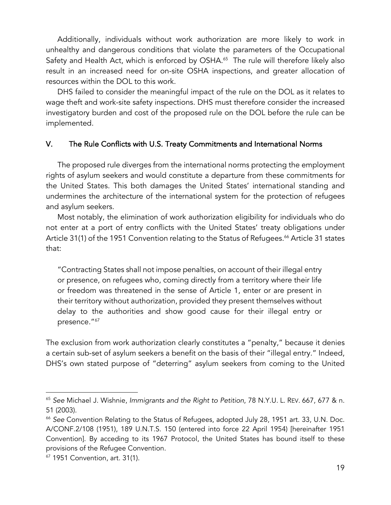Additionally, individuals without work authorization are more likely to work in unhealthy and dangerous conditions that violate the parameters of the Occupational Safety and Health Act, which is enforced by OSHA.<sup>65</sup> The rule will therefore likely also result in an increased need for on-site OSHA inspections, and greater allocation of resources within the DOL to this work.

DHS failed to consider the meaningful impact of the rule on the DOL as it relates to wage theft and work-site safety inspections. DHS must therefore consider the increased investigatory burden and cost of the proposed rule on the DOL before the rule can be implemented.

### V. The Rule Conflicts with U.S. Treaty Commitments and International Norms

The proposed rule diverges from the international norms protecting the employment rights of asylum seekers and would constitute a departure from these commitments for the United States. This both damages the United States' international standing and undermines the architecture of the international system for the protection of refugees and asylum seekers.

Most notably, the elimination of work authorization eligibility for individuals who do not enter at a port of entry conflicts with the United States' treaty obligations under Article 31(1) of the 1951 Convention relating to the Status of Refugees.<sup>66</sup> Article 31 states that:

"Contracting States shall not impose penalties, on account of their illegal entry or presence, on refugees who, coming directly from a territory where their life or freedom was threatened in the sense of Article 1, enter or are present in their territory without authorization, provided they present themselves without delay to the authorities and show good cause for their illegal entry or presence."<sup>67</sup>

The exclusion from work authorization clearly constitutes a "penalty," because it denies a certain sub-set of asylum seekers a benefit on the basis of their "illegal entry." Indeed, DHS's own stated purpose of "deterring" asylum seekers from coming to the United

<sup>65</sup> *See* Michael J. Wishnie, *Immigrants and the Right to Petition*, 78 N.Y.U. L. REV. 667, 677 & n. 51 (2003).

<sup>66</sup> *See* Convention Relating to the Status of Refugees, adopted July 28, 1951 art. 33, U.N. Doc. A/CONF.2/108 (1951), 189 U.N.T.S. 150 (entered into force 22 April 1954) [hereinafter 1951 Convention]. By acceding to its 1967 Protocol, the United States has bound itself to these provisions of the Refugee Convention.

 $67$  1951 Convention, art. 31(1).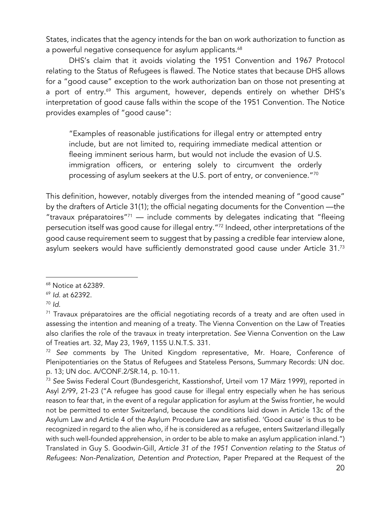States, indicates that the agency intends for the ban on work authorization to function as a powerful negative consequence for asylum applicants.<sup>68</sup>

DHS's claim that it avoids violating the 1951 Convention and 1967 Protocol relating to the Status of Refugees is flawed. The Notice states that because DHS allows for a "good cause" exception to the work authorization ban on those not presenting at a port of entry.<sup>69</sup> This argument, however, depends entirely on whether DHS's interpretation of good cause falls within the scope of the 1951 Convention. The Notice provides examples of "good cause":

"Examples of reasonable justifications for illegal entry or attempted entry include, but are not limited to, requiring immediate medical attention or fleeing imminent serious harm, but would not include the evasion of U.S. immigration officers, or entering solely to circumvent the orderly processing of asylum seekers at the U.S. port of entry, or convenience."70

This definition, however, notably diverges from the intended meaning of "good cause" by the drafters of Article 31(1); the official negating documents for the Convention —the "travaux préparatoires"<sup>71</sup> — include comments by delegates indicating that "fleeing" persecution itself was good cause for illegal entry."72 Indeed, other interpretations of the good cause requirement seem to suggest that by passing a credible fear interview alone, asylum seekers would have sufficiently demonstrated good cause under Article 31.73

<sup>68</sup> Notice at 62389.

<sup>69</sup> *Id*. at 62392.

<sup>70</sup> *Id*.

 $71$  Travaux préparatoires are the official negotiating records of a treaty and are often used in assessing the intention and meaning of a treaty. The Vienna Convention on the Law of Treaties also clarifies the role of the travaux in treaty interpretation. *See* Vienna Convention on the Law of Treaties art. 32, May 23, 1969, 1155 U.N.T.S. 331.

<sup>72</sup> *See* comments by The United Kingdom representative, Mr. Hoare, Conference of Plenipotentiaries on the Status of Refugees and Stateless Persons, Summary Records: UN doc. p. 13; UN doc. A/CONF.2/SR.14, p. 10-11.

<sup>73</sup> *See* Swiss Federal Court (Bundesgericht, Kasstionshof, Urteil vom 17 März 1999), reported in Asyl 2/99, 21-23 ("A refugee has good cause for illegal entry especially when he has serious reason to fear that, in the event of a regular application for asylum at the Swiss frontier, he would not be permitted to enter Switzerland, because the conditions laid down in Article 13c of the Asylum Law and Article 4 of the Asylum Procedure Law are satisfied. 'Good cause' is thus to be recognized in regard to the alien who, if he is considered as a refugee, enters Switzerland illegally with such well-founded apprehension, in order to be able to make an asylum application inland.") Translated in Guy S. Goodwin-Gill, *Article 31 of the 1951 Convention relating to the Status of Refugees: Non-Penalization, Detention and Protection*, Paper Prepared at the Request of the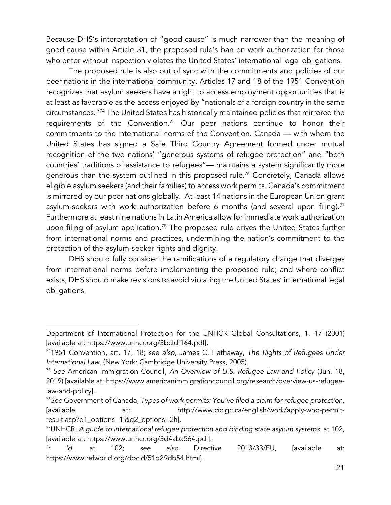Because DHS's interpretation of "good cause" is much narrower than the meaning of good cause within Article 31, the proposed rule's ban on work authorization for those who enter without inspection violates the United States' international legal obligations.

The proposed rule is also out of sync with the commitments and policies of our peer nations in the international community. Articles 17 and 18 of the 1951 Convention recognizes that asylum seekers have a right to access employment opportunities that is at least as favorable as the access enjoyed by "nationals of a foreign country in the same circumstances."74 The United States has historically maintained policies that mirrored the requirements of the Convention.75 Our peer nations continue to honor their commitments to the international norms of the Convention. Canada — with whom the United States has signed a Safe Third Country Agreement formed under mutual recognition of the two nations' "generous systems of refugee protection" and "both countries' traditions of assistance to refugees"— maintains a system significantly more generous than the system outlined in this proposed rule. <sup>76</sup> Concretely, Canada allows eligible asylum seekers (and their families) to access work permits. Canada's commitment is mirrored by our peer nations globally. At least 14 nations in the European Union grant asylum-seekers with work authorization before 6 months (and several upon filing).<sup>77</sup> Furthermore at least nine nations in Latin America allow for immediate work authorization upon filing of asylum application.<sup>78</sup> The proposed rule drives the United States further from international norms and practices, undermining the nation's commitment to the protection of the asylum-seeker rights and dignity.

DHS should fully consider the ramifications of a regulatory change that diverges from international norms before implementing the proposed rule; and where conflict exists, DHS should make revisions to avoid violating the United States' international legal obligations.

Department of International Protection for the UNHCR Global Consultations, 1, 17 (2001) [available at: https://www.unhcr.org/3bcfdf164.pdf].

<sup>741951</sup> Convention, art. 17, 18; *see also*, James C. Hathaway, *The Rights of Refugees Under International Law*, (New York: Cambridge University Press, 2005).

<sup>75</sup> *See* American Immigration Council, *An Overview of U.S. Refugee Law and Policy* (Jun. 18, 2019) [available at: https://www.americanimmigrationcouncil.org/research/overview-us-refugeelaw-and-policy].

<sup>76</sup>*See* Government of Canada, *Types of work permits: You've filed a claim for refugee protection,*  [available at: http://www.cic.gc.ca/english/work/apply-who-permitresult.asp?q1\_options=1i&q2\_options=2h].

<sup>77</sup>UNHCR, *A guide to international refugee protection and binding state asylum systems* at 102, [available at: https://www.unhcr.org/3d4aba564.pdf].

<sup>78</sup> *Id.* at 102; *see also* Directive 2013/33/EU, [available at: https://www.refworld.org/docid/51d29db54.html].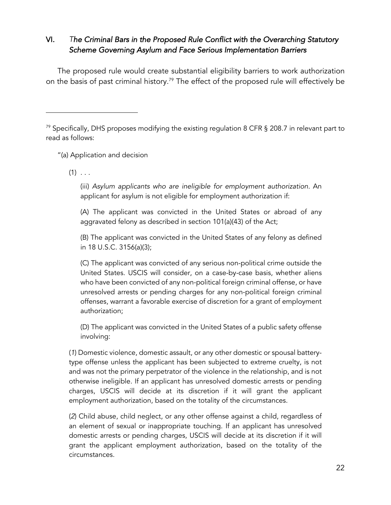# VI. *The Criminal Bars in the Proposed Rule Conflict with the Overarching Statutory Scheme Governing Asylum and Face Serious Implementation Barriers*

The proposed rule would create substantial eligibility barriers to work authorization on the basis of past criminal history.<sup>79</sup> The effect of the proposed rule will effectively be

"(a) Application and decision

 $(1)$  . . .

(iii) *Asylum applicants who are ineligible for employment authorization.* An applicant for asylum is not eligible for employment authorization if:

(A) The applicant was convicted in the United States or abroad of any aggravated felony as described in section 101(a)(43) of the Act;

(B) The applicant was convicted in the United States of any felony as defined in 18 U.S.C. 3156(a)(3);

(C) The applicant was convicted of any serious non-political crime outside the United States. USCIS will consider, on a case-by-case basis, whether aliens who have been convicted of any non-political foreign criminal offense, or have unresolved arrests or pending charges for any non-political foreign criminal offenses, warrant a favorable exercise of discretion for a grant of employment authorization;

(D) The applicant was convicted in the United States of a public safety offense involving:

(*1*) Domestic violence, domestic assault, or any other domestic or spousal batterytype offense unless the applicant has been subjected to extreme cruelty, is not and was not the primary perpetrator of the violence in the relationship, and is not otherwise ineligible. If an applicant has unresolved domestic arrests or pending charges, USCIS will decide at its discretion if it will grant the applicant employment authorization, based on the totality of the circumstances.

(*2*) Child abuse, child neglect, or any other offense against a child, regardless of an element of sexual or inappropriate touching. If an applicant has unresolved domestic arrests or pending charges, USCIS will decide at its discretion if it will grant the applicant employment authorization, based on the totality of the circumstances.

 $79$  Specifically, DHS proposes modifying the existing regulation 8 CFR § 208.7 in relevant part to read as follows: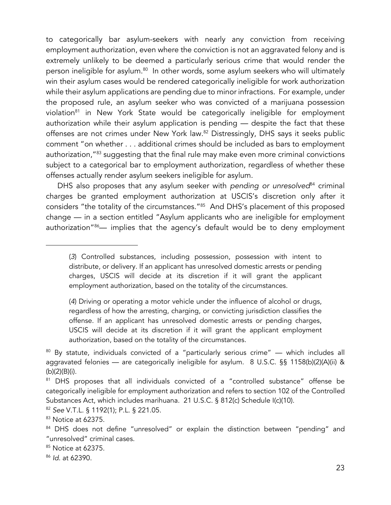to categorically bar asylum-seekers with nearly any conviction from receiving employment authorization, even where the conviction is not an aggravated felony and is extremely unlikely to be deemed a particularly serious crime that would render the person ineligible for asylum.<sup>80</sup> In other words, some asylum seekers who will ultimately win their asylum cases would be rendered categorically ineligible for work authorization while their asylum applications are pending due to minor infractions. For example, under the proposed rule, an asylum seeker who was convicted of a marijuana possession violation<sup>81</sup> in New York State would be categorically ineligible for employment authorization while their asylum application is pending — despite the fact that these offenses are not crimes under New York law.<sup>82</sup> Distressingly, DHS says it seeks public comment "on whether . . . additional crimes should be included as bars to employment authorization,"<sup>83</sup> suggesting that the final rule may make even more criminal convictions subject to a categorical bar to employment authorization, regardless of whether these offenses actually render asylum seekers ineligible for asylum.

DHS also proposes that any asylum seeker with *pending or unresolved*<sup>84</sup> criminal charges be granted employment authorization at USCIS's discretion only after it considers "the totality of the circumstances."85 And DHS's placement of this proposed change — in a section entitled "Asylum applicants who are ineligible for employment authorization"<sup>86</sup>— implies that the agency's default would be to deny employment

(*4*) Driving or operating a motor vehicle under the influence of alcohol or drugs, regardless of how the arresting, charging, or convicting jurisdiction classifies the offense. If an applicant has unresolved domestic arrests or pending charges, USCIS will decide at its discretion if it will grant the applicant employment authorization, based on the totality of the circumstances.

85 Notice at 62375.

<sup>(</sup>*3*) Controlled substances, including possession, possession with intent to distribute, or delivery. If an applicant has unresolved domestic arrests or pending charges, USCIS will decide at its discretion if it will grant the applicant employment authorization, based on the totality of the circumstances.

 $80$  By statute, individuals convicted of a "particularly serious crime"  $-$  which includes all aggravated felonies — are categorically ineligible for asylum. 8 U.S.C. §§ 1158(b)(2)(A)(ii) & (b)(2)(B)(i).

<sup>&</sup>lt;sup>81</sup> DHS proposes that all individuals convicted of a "controlled substance" offense be categorically ineligible for employment authorization and refers to section 102 of the Controlled Substances Act, which includes marihuana. 21 U.S.C. § 812(c) Schedule I(c)(10).

<sup>82</sup> *See* V.T.L. § 1192(1); P.L. § 221.05.

<sup>83</sup> Notice at 62375.

<sup>84</sup> DHS does not define "unresolved" or explain the distinction between "pending" and "unresolved" criminal cases.

<sup>86</sup> *Id*. at 62390.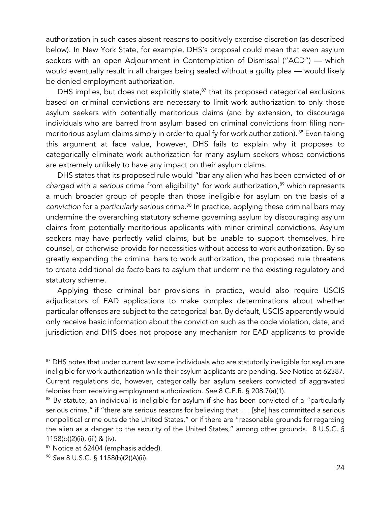authorization in such cases absent reasons to positively exercise discretion (as described below). In New York State, for example, DHS's proposal could mean that even asylum seekers with an open Adjournment in Contemplation of Dismissal ("ACD") — which would eventually result in all charges being sealed without a guilty plea — would likely be denied employment authorization.

DHS implies, but does not explicitly state, $87$  that its proposed categorical exclusions based on criminal convictions are necessary to limit work authorization to only those asylum seekers with potentially meritorious claims (and by extension, to discourage individuals who are barred from asylum based on criminal convictions from filing nonmeritorious asylum claims simply in order to qualify for work authorization). <sup>88</sup> Even taking this argument at face value, however, DHS fails to explain why it proposes to categorically eliminate work authorization for many asylum seekers whose convictions are extremely unlikely to have any impact on their asylum claims.

DHS states that its proposed rule would "bar any alien who has been convicted of *or charged* with a *serious* crime from eligibility" for work authorization,<sup>89</sup> which represents a much broader group of people than those ineligible for asylum on the basis of a *conviction* for a *particularly serious* crime.90 In practice, applying these criminal bars may undermine the overarching statutory scheme governing asylum by discouraging asylum claims from potentially meritorious applicants with minor criminal convictions. Asylum seekers may have perfectly valid claims, but be unable to support themselves, hire counsel, or otherwise provide for necessities without access to work authorization. By so greatly expanding the criminal bars to work authorization, the proposed rule threatens to create additional *de facto* bars to asylum that undermine the existing regulatory and statutory scheme.

Applying these criminal bar provisions in practice, would also require USCIS adjudicators of EAD applications to make complex determinations about whether particular offenses are subject to the categorical bar. By default, USCIS apparently would only receive basic information about the conviction such as the code violation, date, and jurisdiction and DHS does not propose any mechanism for EAD applicants to provide

<sup>&</sup>lt;sup>87</sup> DHS notes that under current law some individuals who are statutorily ineligible for asylum are ineligible for work authorization while their asylum applicants are pending. *See* Notice at 62387. Current regulations do, however, categorically bar asylum seekers convicted of aggravated felonies from receiving employment authorization. *See* 8 C.F.R. § 208.7(a)(1).

<sup>88</sup> By statute, an individual is ineligible for asylum if she has been convicted of a "particularly serious crime," if "there are serious reasons for believing that . . . [she] has committed a serious nonpolitical crime outside the United States," or if there are "reasonable grounds for regarding the alien as a danger to the security of the United States," among other grounds. 8 U.S.C. § 1158(b)(2)(ii), (iii) & (iv).

<sup>89</sup> Notice at 62404 (emphasis added).

<sup>90</sup> *See* 8 U.S.C. § 1158(b)(2)(A)(ii).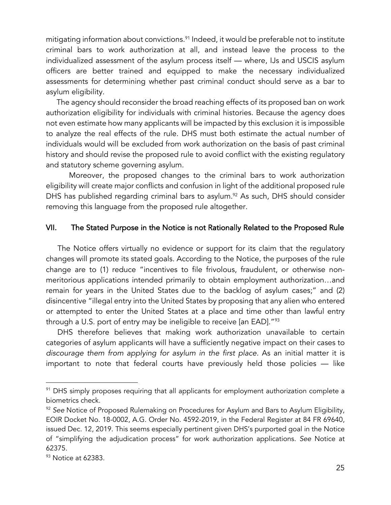mitigating information about convictions.<sup>91</sup> Indeed, it would be preferable not to institute criminal bars to work authorization at all, and instead leave the process to the individualized assessment of the asylum process itself — where, IJs and USCIS asylum officers are better trained and equipped to make the necessary individualized assessments for determining whether past criminal conduct should serve as a bar to asylum eligibility.

 The agency should reconsider the broad reaching effects of its proposed ban on work authorization eligibility for individuals with criminal histories. Because the agency does not even estimate how many applicants will be impacted by this exclusion it is impossible to analyze the real effects of the rule. DHS must both estimate the actual number of individuals would will be excluded from work authorization on the basis of past criminal history and should revise the proposed rule to avoid conflict with the existing regulatory and statutory scheme governing asylum.

Moreover, the proposed changes to the criminal bars to work authorization eligibility will create major conflicts and confusion in light of the additional proposed rule DHS has published regarding criminal bars to asylum.<sup>92</sup> As such, DHS should consider removing this language from the proposed rule altogether.

## VII. The Stated Purpose in the Notice is not Rationally Related to the Proposed Rule

The Notice offers virtually no evidence or support for its claim that the regulatory changes will promote its stated goals. According to the Notice, the purposes of the rule change are to (1) reduce "incentives to file frivolous, fraudulent, or otherwise nonmeritorious applications intended primarily to obtain employment authorization…and remain for years in the United States due to the backlog of asylum cases;" and (2) disincentive "illegal entry into the United States by proposing that any alien who entered or attempted to enter the United States at a place and time other than lawful entry through a U.S. port of entry may be ineligible to receive [an EAD]."<sup>93</sup>

DHS therefore believes that making work authorization unavailable to certain categories of asylum applicants will have a sufficiently negative impact on their cases to *discourage them from applying for asylum in the first place.* As an initial matter it is important to note that federal courts have previously held those policies — like

 $91$  DHS simply proposes requiring that all applicants for employment authorization complete a biometrics check.

<sup>92</sup> *See* Notice of Proposed Rulemaking on Procedures for Asylum and Bars to Asylum Eligibility, EOIR Docket No. 18-0002, A.G. Order No. 4592-2019, in the Federal Register at 84 FR 69640, issued Dec. 12, 2019. This seems especially pertinent given DHS's purported goal in the Notice of "simplifying the adjudication process" for work authorization applications. *See* Notice at 62375.

 $93$  Notice at 62383.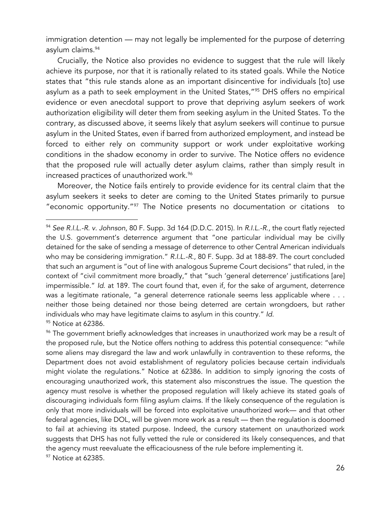immigration detention — may not legally be implemented for the purpose of deterring asylum claims.94

Crucially, the Notice also provides no evidence to suggest that the rule will likely achieve its purpose, nor that it is rationally related to its stated goals. While the Notice states that "this rule stands alone as an important disincentive for individuals [to] use asylum as a path to seek employment in the United States,"95 DHS offers no empirical evidence or even anecdotal support to prove that depriving asylum seekers of work authorization eligibility will deter them from seeking asylum in the United States. To the contrary, as discussed above, it seems likely that asylum seekers will continue to pursue asylum in the United States, even if barred from authorized employment, and instead be forced to either rely on community support or work under exploitative working conditions in the shadow economy in order to survive. The Notice offers no evidence that the proposed rule will actually deter asylum claims, rather than simply result in increased practices of unauthorized work.<sup>96</sup>

Moreover, the Notice fails entirely to provide evidence for its central claim that the asylum seekers it seeks to deter are coming to the United States primarily to pursue "economic opportunity."97 The Notice presents no documentation or citations to

<sup>96</sup> The government briefly acknowledges that increases in unauthorized work may be a result of the proposed rule, but the Notice offers nothing to address this potential consequence: "while some aliens may disregard the law and work unlawfully in contravention to these reforms, the Department does not avoid establishment of regulatory policies because certain individuals might violate the regulations." Notice at 62386. In addition to simply ignoring the costs of encouraging unauthorized work, this statement also misconstrues the issue. The question the agency must resolve is whether the proposed regulation will likely achieve its stated goals of discouraging individuals form filing asylum claims. If the likely consequence of the regulation is only that more individuals will be forced into exploitative unauthorized work— and that other federal agencies, like DOL, will be given more work as a result — then the regulation is doomed to fail at achieving its stated purpose. Indeed, the cursory statement on unauthorized work suggests that DHS has not fully vetted the rule or considered its likely consequences, and that the agency must reevaluate the efficaciousness of the rule before implementing it. <sup>97</sup> Notice at 62385.

<sup>94</sup> *See R.I.L.-R. v. Johnson*, 80 F. Supp. 3d 164 (D.D.C. 2015). In *R.I.L.-R*., the court flatly rejected the U.S. government's deterrence argument that "one particular individual may be civilly detained for the sake of sending a message of deterrence to other Central American individuals who may be considering immigration." *R.I.L.-R*., 80 F. Supp. 3d at 188-89. The court concluded that such an argument is "out of line with analogous Supreme Court decisions" that ruled, in the context of "civil commitment more broadly," that "such 'general deterrence' justifications [are] impermissible." *Id*. at 189. The court found that, even if, for the sake of argument, deterrence was a legitimate rationale, "a general deterrence rationale seems less applicable where . . . neither those being detained nor those being deterred are certain wrongdoers, but rather individuals who may have legitimate claims to asylum in this country." *Id*. 95 Notice at 62386.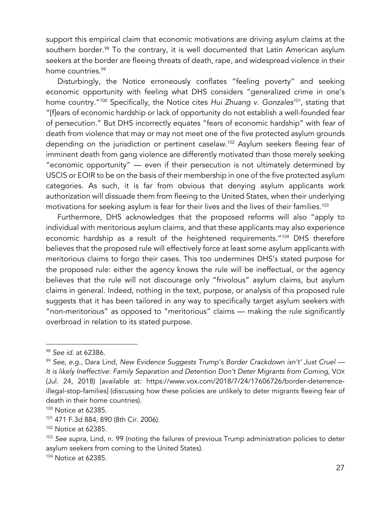support this empirical claim that economic motivations are driving asylum claims at the southern border.<sup>98</sup> To the contrary, it is well documented that Latin American asylum seekers at the border are fleeing threats of death, rape, and widespread violence in their home countries.<sup>99</sup>

Disturbingly, the Notice erroneously conflates "feeling poverty" and seeking economic opportunity with feeling what DHS considers "generalized crime in one's home country."100 Specifically, the Notice cites *Hui Zhuang v. Gonzales101*, stating that "[f]ears of economic hardship or lack of opportunity do not establish a well-founded fear of persecution." But DHS incorrectly equates "fears of economic hardship" with fear of death from violence that may or may not meet one of the five protected asylum grounds depending on the jurisdiction or pertinent caselaw. <sup>102</sup> Asylum seekers fleeing fear of imminent death from gang violence are differently motivated than those merely seeking "economic opportunity" — even if their persecution is not ultimately determined by USCIS or EOIR to be on the basis of their membership in one of the five protected asylum categories. As such, it is far from obvious that denying asylum applicants work authorization will dissuade them from fleeing to the United States, when their underlying motivations for seeking asylum is fear for their lives and the lives of their families. 103

Furthermore, DHS acknowledges that the proposed reforms will also "apply to individual with meritorious asylum claims, and that these applicants may also experience economic hardship as a result of the heightened requirements."104 DHS therefore believes that the proposed rule will effectively force at least some asylum applicants with meritorious claims to forgo their cases. This too undermines DHS's stated purpose for the proposed rule: either the agency knows the rule will be ineffectual, or the agency believes that the rule will not discourage only "frivolous" asylum claims, but asylum claims in general. Indeed, nothing in the text, purpose, or analysis of this proposed rule suggests that it has been tailored in any way to specifically target asylum seekers with "non-meritorious" as opposed to "meritorious" claims — making the rule significantly overbroad in relation to its stated purpose.

<sup>98</sup> *See id*. at 62386.

<sup>99</sup> *See, e.g*., Dara Lind, *New Evidence Suggests Trump's Border Crackdown isn't' Just Cruel — It is likely Ineffective: Family Separation and Detention Don't Deter Migrants from Coming*, VOX (Jul. 24, 2018) [available at: https://www.vox.com/2018/7/24/17606726/border-deterrenceillegal-stop-families] (discussing how these policies are unlikely to deter migrants fleeing fear of death in their home countries).

<sup>100</sup> Notice at 62385.

<sup>101</sup> 471 F.3d 884, 890 (8th Cir. 2006).

<sup>102</sup> Notice at 62385.

<sup>103</sup> *See supra*, Lind, n. 99 (noting the failures of previous Trump administration policies to deter asylum seekers from coming to the United States).

<sup>104</sup> Notice at 62385.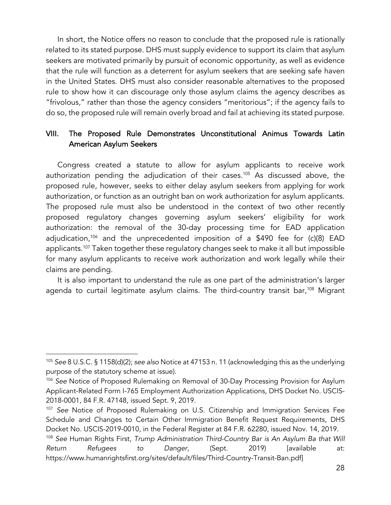In short, the Notice offers no reason to conclude that the proposed rule is rationally related to its stated purpose. DHS must supply evidence to support its claim that asylum seekers are motivated primarily by pursuit of economic opportunity, as well as evidence that the rule will function as a deterrent for asylum seekers that are seeking safe haven in the United States. DHS must also consider reasonable alternatives to the proposed rule to show how it can discourage only those asylum claims the agency describes as "frivolous," rather than those the agency considers "meritorious"; if the agency fails to do so, the proposed rule will remain overly broad and fail at achieving its stated purpose.

# VIII. The Proposed Rule Demonstrates Unconstitutional Animus Towards Latin American Asylum Seekers

Congress created a statute to allow for asylum applicants to receive work authorization pending the adjudication of their cases.<sup>105</sup> As discussed above, the proposed rule, however, seeks to either delay asylum seekers from applying for work authorization, or function as an outright ban on work authorization for asylum applicants. The proposed rule must also be understood in the context of two other recently proposed regulatory changes governing asylum seekers' eligibility for work authorization: the removal of the 30-day processing time for EAD application adjudication,106 and the unprecedented imposition of a \$490 fee for (c)(8) EAD applicants.107 Taken together these regulatory changes seek to make it all but impossible for many asylum applicants to receive work authorization and work legally while their claims are pending.

It is also important to understand the rule as one part of the administration's larger agenda to curtail legitimate asylum claims. The third-country transit bar,<sup>108</sup> Migrant

<sup>105</sup> *See* 8 U.S.C. § 1158(d)(2); *see also* Notice at 47153 n. 11 (acknowledging this as the underlying purpose of the statutory scheme at issue).

<sup>106</sup> *See* Notice of Proposed Rulemaking on Removal of 30-Day Processing Provision for Asylum Applicant-Related Form I-765 Employment Authorization Applications, DHS Docket No. USCIS-2018-0001, 84 F.R. 47148, issued Sept. 9, 2019.

<sup>107</sup> *See* Notice of Proposed Rulemaking on U.S. Citizenship and Immigration Services Fee Schedule and Changes to Certain Other Immigration Benefit Request Requirements, DHS Docket No. USCIS-2019-0010, in the Federal Register at 84 F.R. 62280, issued Nov. 14, 2019.

<sup>108</sup> *See* Human Rights First, *Trump Administration Third-Country Bar is An Asylum Ba that Will Return Refugees to Danger*, (Sept. 2019) [available at: https://www.humanrightsfirst.org/sites/default/files/Third-Country-Transit-Ban.pdf]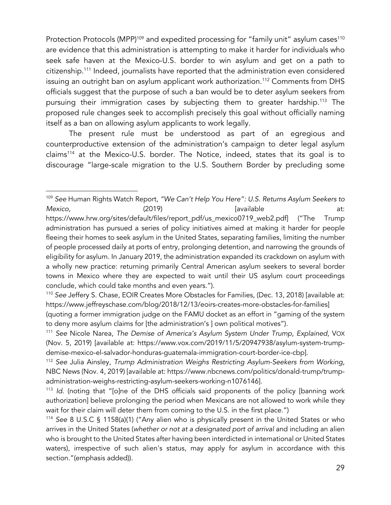Protection Protocols (MPP)<sup>109</sup> and expedited processing for "family unit" asylum cases<sup>110</sup> are evidence that this administration is attempting to make it harder for individuals who seek safe haven at the Mexico-U.S. border to win asylum and get on a path to citizenship.111 Indeed, journalists have reported that the administration even considered issuing an outright ban on asylum applicant work authorization.<sup>112</sup> Comments from DHS officials suggest that the purpose of such a ban would be to deter asylum seekers from pursuing their immigration cases by subjecting them to greater hardship.113 The proposed rule changes seek to accomplish precisely this goal without officially naming itself as a ban on allowing asylum applicants to work legally.

The present rule must be understood as part of an egregious and counterproductive extension of the administration's campaign to deter legal asylum claims114 at the Mexico-U.S. border. The Notice, indeed, states that its goal is to discourage "large-scale migration to the U.S. Southern Border by precluding some

<sup>109</sup> *See* Human Rights Watch Report, *"We Can't Help You Here": U.S. Returns Asylum Seekers to Mexico,* (2019) [available at: https://www.hrw.org/sites/default/files/report\_pdf/us\_mexico0719\_web2.pdf] ("The Trump administration has pursued a series of policy initiatives aimed at making it harder for people fleeing their homes to seek asylum in the United States, separating families, limiting the number of people processed daily at ports of entry, prolonging detention, and narrowing the grounds of eligibility for asylum. In January 2019, the administration expanded its crackdown on asylum with a wholly new practice: returning primarily Central American asylum seekers to several border towns in Mexico where they are expected to wait until their US asylum court proceedings conclude, which could take months and even years.").

<sup>110</sup> *See* Jeffery S. Chase, EOIR Creates More Obstacles for Families, (Dec. 13, 2018) [available at: https://www.jeffreyschase.com/blog/2018/12/13/eoirs-creates-more-obstacles-for-families]

<sup>(</sup>quoting a former immigration judge on the FAMU docket as an effort in "gaming of the system to deny more asylum claims for [the administration's ] own political motives").

<sup>111</sup> *See* Nicole Narea, *The Demise of America's Asylum System Under Trump*, *Explained*, VOX (Nov. 5, 2019) [available at: https://www.vox.com/2019/11/5/20947938/asylum-system-trumpdemise-mexico-el-salvador-honduras-guatemala-immigration-court-border-ice-cbp].

<sup>112</sup> *See* Julia Ainsley, *Trump Administration Weighs Restricting Asylum-Seekers from Working,* NBC News (Nov. 4, 2019) [available at: https://www.nbcnews.com/politics/donald-trump/trumpadministration-weighs-restricting-asylum-seekers-working-n1076146].

<sup>113</sup> *Id*. (noting that "[o]ne of the DHS officials said proponents of the policy [banning work authorization] believe prolonging the period when Mexicans are not allowed to work while they wait for their claim will deter them from coming to the U.S. in the first place.")

<sup>114</sup> *See* 8 U.S.C § 1158(a)(1) ("Any alien who is physically present in the United States or who arrives in the United States (*whether or not at a designated port of arrival* and including an alien who is brought to the United States after having been interdicted in international or United States waters), irrespective of such alien's status, may apply for asylum in accordance with this section."(emphasis added)).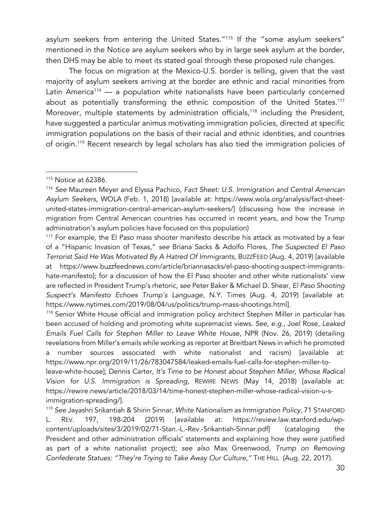asylum seekers from entering the United States."<sup>115</sup> If the "some asylum seekers" mentioned in the Notice are asylum seekers who by in large seek asylum at the border, then DHS may be able to meet its stated goal through these proposed rule changes.

The focus on migration at the Mexico-U.S. border is telling, given that the vast majority of asylum seekers arriving at the border are ethnic and racial minorities from Latin America<sup>116</sup> — a population white nationalists have been particularly concerned about as potentially transforming the ethnic composition of the United States.<sup>117</sup> Moreover, multiple statements by administration officials,<sup>118</sup> including the President, have suggested a particular animus motivating immigration policies, directed at specific immigration populations on the basis of their racial and ethnic identities, and countries of origin.119 Recent research by legal scholars has also tied the immigration policies of

<sup>118</sup> Senior White House official and immigration policy architect Stephen Miller in particular has been accused of holding and promoting white supremacist views. *See*, *e.g*., Joel Rose, *Leaked Emails Fuel Calls for Stephen Miller to Leave White House*, NPR (Nov. 26, 2019) (detailing revelations from Miller's emails while working as reporter at Breitbart News in which he promoted a number sources associated with white nationalist and racism) [available at: https://www.npr.org/2019/11/26/783047584/leaked-emails-fuel-calls-for-stephen-miller-toleave-white-house]; Dennis Carter, *It's Time to be Honest about Stephen Miller, Whose Radical Vision for U.S. Immigration is Spreading*, REWIRE NEWS (May 14, 2018) [available at: https://rewire.news/article/2018/03/14/time-honest-stephen-miller-whose-radical-vision-u-s-

immigration-spreading/].

<sup>119</sup> *See* Jayashri Srikantiah & Shirin Sinnar, *White Nationalism as Immigration Policy*, 71 STANFORD L. REV. 197, 198-204 (2019) [available at: https://review.law.stanford.edu/wpcontent/uploads/sites/3/2019/02/71-Stan.-L.-Rev.-Srikantiah-Sinnar.pdf] (cataloging the President and other administration officials' statements and explaining how they were justified as part of a white nationalist project); *see also* Max Greenwood, *Trump on Removing Confederate Statues: "They're Trying to Take Away Our Culture,"* THE HILL (Aug. 22, 2017).

 $115$  Notice at 62386.

<sup>116</sup> *See* Maureen Meyer and Elyssa Pachico, *Fact Sheet: U.S. Immigration and Central American Asylum Seekers*, WOLA (Feb. 1, 2018) [available at: https://www.wola.org/analysis/fact-sheetunited-states-immigration-central-american-asylum-seekers/] (discussing how the increase in migration from Central American countries has occurred in recent years, and how the Trump administration's asylum policies have focused on this population)

 $117$  For example, the El Paso mass shooter manifesto describe his attack as motivated by a fear of a "Hispanic Invasion of Texas," *see* Briana Sacks & Adolfo Flores, *The Suspected El Paso Terrorist Said He Was Motivated By A Hatred Of Immigrants,* BUZZFEED (Aug. 4, 2019) [available at https://www.buzzfeednews.com/article/briannasacks/el-paso-shooting-suspect-immigrantshate-manifesto]; for a discussion of how the El Paso shooter and other white nationalists' view are reflected in President Trump's rhetoric, *see* Peter Baker & Michael D. Shear, *El Paso Shooting Suspect's Manifesto Echoes Trump's Language*, N.Y. Times (Aug. 4, 2019) [available at: https://www.nytimes.com/2019/08/04/us/politics/trump-mass-shootings.html].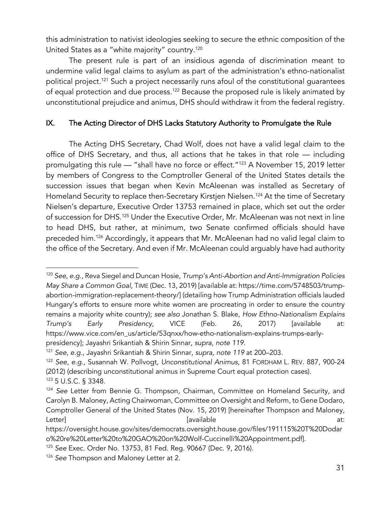this administration to nativist ideologies seeking to secure the ethnic composition of the United States as a "white majority" country.<sup>120</sup>

The present rule is part of an insidious agenda of discrimination meant to undermine valid legal claims to asylum as part of the administration's ethno-nationalist political project.<sup>121</sup> Such a project necessarily runs afoul of the constitutional quarantees of equal protection and due process.<sup>122</sup> Because the proposed rule is likely animated by unconstitutional prejudice and animus, DHS should withdraw it from the federal registry.

## IX. The Acting Director of DHS Lacks Statutory Authority to Promulgate the Rule

The Acting DHS Secretary, Chad Wolf, does not have a valid legal claim to the office of DHS Secretary, and thus, all actions that he takes in that role — including promulgating this rule — "shall have no force or effect."123 A November 15, 2019 letter by members of Congress to the Comptroller General of the United States details the succession issues that began when Kevin McAleenan was installed as Secretary of Homeland Security to replace then-Secretary Kirstjen Nielsen.<sup>124</sup> At the time of Secretary Nielsen's departure, Executive Order 13753 remained in place, which set out the order of succession for DHS.125 Under the Executive Order, Mr. McAleenan was not next in line to head DHS, but rather, at minimum, two Senate confirmed officials should have preceded him.126 Accordingly, it appears that Mr. McAleenan had no valid legal claim to the office of the Secretary. And even if Mr. McAleenan could arguably have had authority

<sup>120</sup> *See, e.g.,* Reva Siegel and Duncan Hosie, *Trump's Anti-Abortion and Anti-Immigration Policies May Share a Common Goal*, TIME (Dec. 13, 2019) [available at: https://time.com/5748503/trumpabortion-immigration-replacement-theory/] (detailing how Trump Administration officials lauded Hungary's efforts to ensure more white women are procreating in order to ensure the country remains a majority white country); *see also* Jonathan S. Blake, *How Ethno-Nationalism Explains Trump's Early Presidency*, VICE (Feb. 26, 2017) [available at: https://www.vice.com/en\_us/article/53qnxx/how-etho-nationalism-explains-trumps-earlypresidency]; Jayashri Srikantiah & Shirin Sinnar, *supra, note 119*.

<sup>121</sup> *See, e.g*., Jayashri Srikantiah & Shirin Sinnar, *supra, note 119* at 200–203.

<sup>122</sup> *See, e.g.,* Susannah W. Pollvogt*, Unconstitutional Animus*, 81 FORDHAM L. REV. 887, 900-24 (2012) (describing unconstitutional animus in Supreme Court equal protection cases). <sup>123</sup> 5 U.S.C. § 3348.

<sup>124</sup> *See* Letter from Bennie G. Thompson, Chairman, Committee on Homeland Security, and Carolyn B. Maloney, Acting Chairwoman, Committee on Oversight and Reform, to Gene Dodaro, Comptroller General of the United States (Nov. 15, 2019) [hereinafter Thompson and Maloney, Letter] [available at:

https://oversight.house.gov/sites/democrats.oversight.house.gov/files/191115%20T%20Dodar o%20re%20Letter%20to%20GAO%20on%20Wolf-Cuccinelli%20Appointment.pdf].

<sup>125</sup> *See* Exec. Order No. 13753, 81 Fed. Reg. 90667 (Dec. 9, 2016).

<sup>&</sup>lt;sup>126</sup> See Thompson and Maloney Letter at 2.